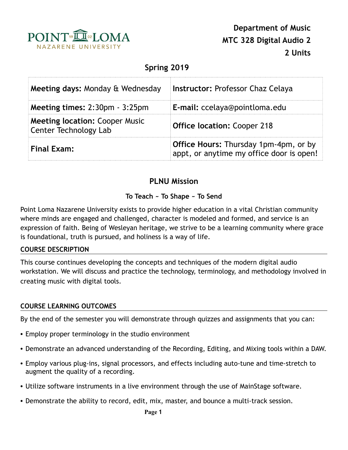

# **Spring 2019**

| Meeting days: Monday & Wednesday                                      | <b>Instructor: Professor Chaz Celaya</b>                                          |  |
|-----------------------------------------------------------------------|-----------------------------------------------------------------------------------|--|
| Meeting times: 2:30pm - 3:25pm                                        | E-mail: ccelaya@pointloma.edu                                                     |  |
| <b>Meeting location: Cooper Music</b><br><b>Center Technology Lab</b> | <b>Office location: Cooper 218</b>                                                |  |
| <b>Final Exam:</b>                                                    | Office Hours: Thursday 1pm-4pm, or by<br>appt, or anytime my office door is open! |  |

# **PLNU Mission**

### **To Teach ~ To Shape ~ To Send**

Point Loma Nazarene University exists to provide higher education in a vital Christian community where minds are engaged and challenged, character is modeled and formed, and service is an expression of faith. Being of Wesleyan heritage, we strive to be a learning community where grace is foundational, truth is pursued, and holiness is a way of life.

#### **COURSE DESCRIPTION**

This course continues developing the concepts and techniques of the modern digital audio workstation. We will discuss and practice the technology, terminology, and methodology involved in creating music with digital tools.

#### **COURSE LEARNING OUTCOMES**

By the end of the semester you will demonstrate through quizzes and assignments that you can:

- Employ proper terminology in the studio environment
- Demonstrate an advanced understanding of the Recording, Editing, and Mixing tools within a DAW.
- Employ various plug-ins, signal processors, and effects including auto-tune and time-stretch to augment the quality of a recording.
- Utilize software instruments in a live environment through the use of MainStage software.
- Demonstrate the ability to record, edit, mix, master, and bounce a multi-track session.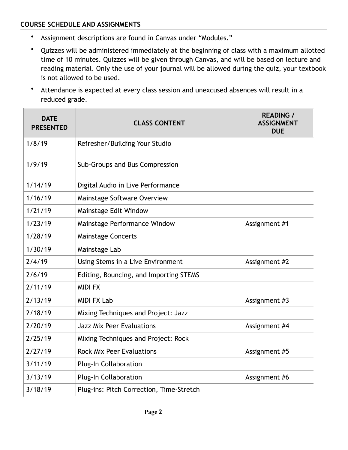### **COURSE SCHEDULE AND ASSIGNMENTS**

- Assignment descriptions are found in Canvas under "Modules."
- Quizzes will be administered immediately at the beginning of class with a maximum allotted time of 10 minutes. Quizzes will be given through Canvas, and will be based on lecture and reading material. Only the use of your journal will be allowed during the quiz, your textbook is not allowed to be used.
- Attendance is expected at every class session and unexcused absences will result in a reduced grade.

| <b>DATE</b><br><b>PRESENTED</b> | <b>CLASS CONTENT</b>                     | <b>READING /</b><br><b>ASSIGNMENT</b><br><b>DUE</b> |
|---------------------------------|------------------------------------------|-----------------------------------------------------|
| 1/8/19                          | Refresher/Building Your Studio           |                                                     |
| 1/9/19                          | Sub-Groups and Bus Compression           |                                                     |
| 1/14/19                         | Digital Audio in Live Performance        |                                                     |
| 1/16/19                         | Mainstage Software Overview              |                                                     |
| 1/21/19                         | Mainstage Edit Window                    |                                                     |
| 1/23/19                         | Mainstage Performance Window             | Assignment #1                                       |
| 1/28/19                         | Mainstage Concerts                       |                                                     |
| 1/30/19                         | Mainstage Lab                            |                                                     |
| 2/4/19                          | Using Stems in a Live Environment        | Assignment #2                                       |
| 2/6/19                          | Editing, Bouncing, and Importing STEMS   |                                                     |
| 2/11/19                         | <b>MIDI FX</b>                           |                                                     |
| 2/13/19                         | <b>MIDI FX Lab</b>                       | Assignment #3                                       |
| 2/18/19                         | Mixing Techniques and Project: Jazz      |                                                     |
| 2/20/19                         | <b>Jazz Mix Peer Evaluations</b>         | Assignment #4                                       |
| 2/25/19                         | Mixing Techniques and Project: Rock      |                                                     |
| 2/27/19                         | <b>Rock Mix Peer Evaluations</b>         | Assignment #5                                       |
| 3/11/19                         | <b>Plug-In Collaboration</b>             |                                                     |
| 3/13/19                         | <b>Plug-In Collaboration</b>             | Assignment #6                                       |
| 3/18/19                         | Plug-ins: Pitch Correction, Time-Stretch |                                                     |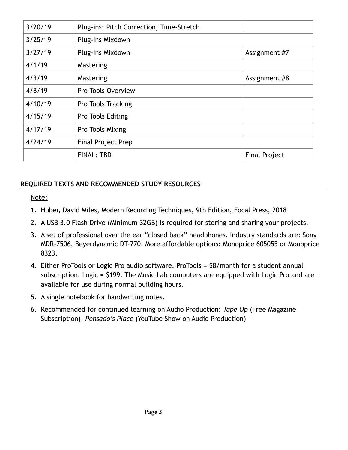| 3/20/19 | Plug-ins: Pitch Correction, Time-Stretch |                      |
|---------|------------------------------------------|----------------------|
| 3/25/19 | Plug-Ins Mixdown                         |                      |
| 3/27/19 | Plug-Ins Mixdown                         | Assignment #7        |
| 4/1/19  | Mastering                                |                      |
| 4/3/19  | Mastering                                | Assignment #8        |
| 4/8/19  | Pro Tools Overview                       |                      |
| 4/10/19 | Pro Tools Tracking                       |                      |
| 4/15/19 | Pro Tools Editing                        |                      |
| 4/17/19 | Pro Tools Mixing                         |                      |
| 4/24/19 | <b>Final Project Prep</b>                |                      |
|         | <b>FINAL: TBD</b>                        | <b>Final Project</b> |

### **REQUIRED TEXTS AND RECOMMENDED STUDY RESOURCES**

Note:

- 1. Huber, David Miles, Modern Recording Techniques, 9th Edition, Focal Press, 2018
- 2. A USB 3.0 Flash Drive (Minimum 32GB) is required for storing and sharing your projects.
- 3. A set of professional over the ear "closed back" headphones. Industry standards are: Sony MDR-7506, Beyerdynamic DT-770. More affordable options: Monoprice 605055 or Monoprice 8323.
- 4. Either ProTools or Logic Pro audio software. ProTools = \$8/month for a student annual subscription, Logic = \$199. The Music Lab computers are equipped with Logic Pro and are available for use during normal building hours.
- 5. A single notebook for handwriting notes.
- 6. Recommended for continued learning on Audio Production: *Tape Op* (Free Magazine Subscription), *Pensado's Place* (YouTube Show on Audio Production)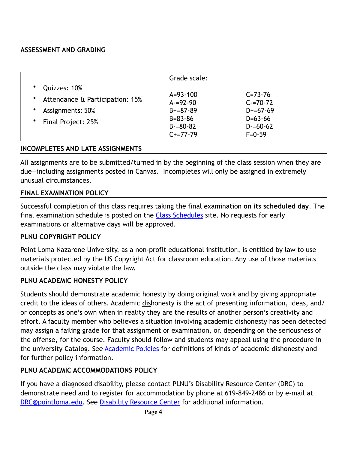### **ASSESSMENT AND GRADING**

|                                                                                                                                       | Grade scale:                                                                                  |                                                                                          |
|---------------------------------------------------------------------------------------------------------------------------------------|-----------------------------------------------------------------------------------------------|------------------------------------------------------------------------------------------|
| Quizzes: 10%<br>$\bullet$<br>Attendance & Participation: 15%<br>٠<br>Assignments: 50%<br>$\bullet$<br>Final Project: 25%<br>$\bullet$ | $A = 93 - 100$<br>$A = 92 - 90$<br>$B+=87-89$<br>$B = 83 - 86$<br>$B = 80 - 82$<br>$C+=77-79$ | $C = 73 - 76$<br>$C = 70 - 72$<br>$D+=67-69$<br>$D=63-66$<br>$D = 60 - 62$<br>$F = 0.59$ |

#### **INCOMPLETES AND LATE ASSIGNMENTS**

All assignments are to be submitted/turned in by the beginning of the class session when they are due—including assignments posted in Canvas. Incompletes will only be assigned in extremely unusual circumstances.

#### **FINAL EXAMINATION POLICY**

Successful completion of this class requires taking the final examination **on its scheduled day**. The final examination schedule is posted on the [Class Schedules](http://www.pointloma.edu/experience/academics/class-schedules) site. No requests for early examinations or alternative days will be approved.

#### **PLNU COPYRIGHT POLICY**

Point Loma Nazarene University, as a non-profit educational institution, is entitled by law to use materials protected by the US Copyright Act for classroom education. Any use of those materials outside the class may violate the law.

#### **PLNU ACADEMIC HONESTY POLICY**

Students should demonstrate academic honesty by doing original work and by giving appropriate credit to the ideas of others. Academic dishonesty is the act of presenting information, ideas, and/ or concepts as one's own when in reality they are the results of another person's creativity and effort. A faculty member who believes a situation involving academic dishonesty has been detected may assign a failing grade for that assignment or examination, or, depending on the seriousness of the offense, for the course. Faculty should follow and students may appeal using the procedure in the university Catalog. See **Academic Policies** for definitions of kinds of academic dishonesty and for further policy information.

#### **PLNU ACADEMIC ACCOMMODATIONS POLICY**

If you have a diagnosed disability, please contact PLNU's Disability Resource Center (DRC) to demonstrate need and to register for accommodation by phone at 619-849-2486 or by e-mail at [DRC@pointloma.edu](mailto:DRC@pointloma.edu). See [Disability Resource Center](http://www.pointloma.edu/experience/offices/administrative-offices/academic-advising-office/disability-resource-center) for additional information.